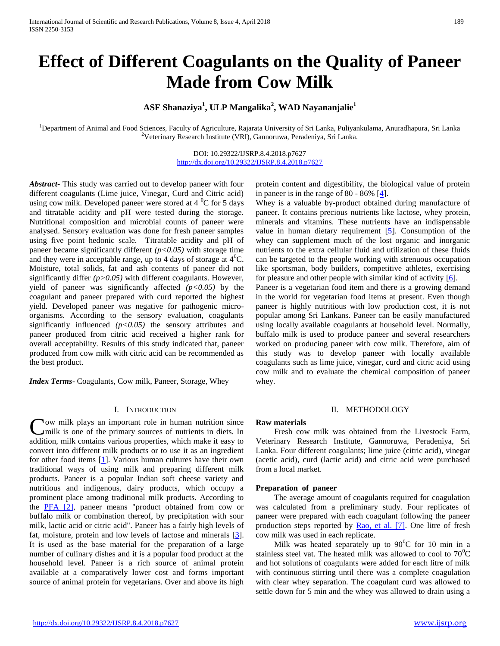# **Effect of Different Coagulants on the Quality of Paneer Made from Cow Milk**

# **ASF Shanaziya<sup>1</sup> , ULP Mangalika<sup>2</sup> , WAD Nayananjalie<sup>1</sup>**

<sup>1</sup>Department of Animal and Food Sciences, Faculty of Agriculture, Rajarata University of Sri Lanka, Puliyankulama, Anuradhapura, Sri Lanka <sup>2</sup>Veterinary Research Institute (VRI), Gannoruwa, Peradeniya, Sri Lanka.

> DOI: 10.29322/IJSRP.8.4.2018.p7627 <http://dx.doi.org/10.29322/IJSRP.8.4.2018.p7627>

*Abstract***-** This study was carried out to develop paneer with four different coagulants (Lime juice, Vinegar, Curd and Citric acid) using cow milk. Developed paneer were stored at  $4^{\circ}$ C for 5 days and titratable acidity and pH were tested during the storage. Nutritional composition and microbial counts of paneer were analysed. Sensory evaluation was done for fresh paneer samples using five point hedonic scale. Titratable acidity and pH of paneer became significantly different  $(p<0.05)$  with storage time and they were in acceptable range, up to 4 days of storage at  $4^{\circ}C$ . Moisture, total solids, fat and ash contents of paneer did not significantly differ *(p>0.05)* with different coagulants. However, yield of paneer was significantly affected *(p<0.05)* by the coagulant and paneer prepared with curd reported the highest yield. Developed paneer was negative for pathogenic microorganisms. According to the sensory evaluation, coagulants significantly influenced *(p<0.05)* the sensory attributes and paneer produced from citric acid received a higher rank for overall acceptability. Results of this study indicated that, paneer produced from cow milk with citric acid can be recommended as the best product.

*Index Terms*- Coagulants, Cow milk, Paneer, Storage, Whey

#### I. INTRODUCTION

ow milk plays an important role in human nutrition since Cow milk plays an important role in human nutrition since<br>
Unilk is one of the primary sources of nutrients in diets. In addition, milk contains various properties, which make it easy to convert into different milk products or to use it as an ingredient for other food items [\[1\]](#page-4-0). Various human cultures have their own traditional ways of using milk and preparing different milk products. Paneer is a popular Indian soft cheese variety and nutritious and indigenous, dairy products, which occupy a prominent place among traditional milk products. According to the [PFA \[2\],](#page-4-1) paneer means "product obtained from cow or buffalo milk or combination thereof, by precipitation with sour milk, lactic acid or citric acid". Paneer has a fairly high levels of fat, moisture, protein and low levels of lactose and minerals [\[3\]](#page-4-2). It is used as the base material for the preparation of a large number of culinary dishes and it is a popular food product at the household level. Paneer is a rich source of animal protein available at a comparatively lower cost and forms important source of animal protein for vegetarians. Over and above its high

protein content and digestibility, the biological value of protein in paneer is in the range of 80 - 86% [\[4\]](#page-4-3).

Whey is a valuable by-product obtained during manufacture of paneer. It contains precious nutrients like lactose, whey protein, minerals and vitamins. These nutrients have an indispensable value in human dietary requirement [\[5\]](#page-4-4). Consumption of the whey can supplement much of the lost organic and inorganic nutrients to the extra cellular fluid and utilization of these fluids can be targeted to the people working with strenuous occupation like sportsman, body builders, competitive athletes, exercising for pleasure and other people with similar kind of activity  $[6]$ .

Paneer is a vegetarian food item and there is a growing demand in the world for vegetarian food items at present. Even though paneer is highly nutritious with low production cost, it is not popular among Sri Lankans. Paneer can be easily manufactured using locally available coagulants at household level. Normally, buffalo milk is used to produce paneer and several researchers worked on producing paneer with cow milk. Therefore, aim of this study was to develop paneer with locally available coagulants such as lime juice, vinegar, curd and citric acid using cow milk and to evaluate the chemical composition of paneer whey.

#### II. METHODOLOGY

#### **Raw materials**

 Fresh cow milk was obtained from the Livestock Farm, Veterinary Research Institute, Gannoruwa, Peradeniya, Sri Lanka. Four different coagulants; lime juice (citric acid), vinegar (acetic acid), curd (lactic acid) and citric acid were purchased from a local market.

#### **Preparation of paneer**

 The average amount of coagulants required for coagulation was calculated from a preliminary study. Four replicates of paneer were prepared with each coagulant following the paneer production steps reported by [Rao, et al. \[7\].](#page-4-6) One litre of fresh cow milk was used in each replicate.

Milk was heated separately up to  $90^{\circ}$ C for 10 min in a stainless steel vat. The heated milk was allowed to cool to  $70^0C$ and hot solutions of coagulants were added for each litre of milk with continuous stirring until there was a complete coagulation with clear whey separation. The coagulant curd was allowed to settle down for 5 min and the whey was allowed to drain using a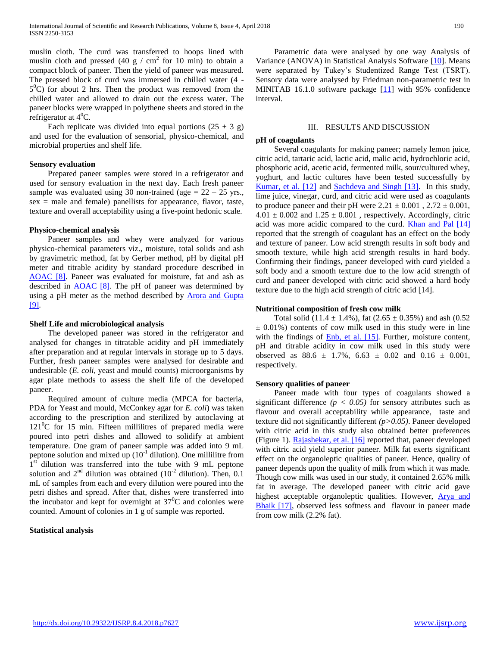muslin cloth. The curd was transferred to hoops lined with muslin cloth and pressed (40 g / cm<sup>2</sup> for 10 min) to obtain a compact block of paneer. Then the yield of paneer was measured. The pressed block of curd was immersed in chilled water (4 -  $5^{\circ}$ C) for about 2 hrs. Then the product was removed from the chilled water and allowed to drain out the excess water. The paneer blocks were wrapped in polythene sheets and stored in the refrigerator at  $4^0C$ .

Each replicate was divided into equal portions  $(25 \pm 3 \text{ g})$ and used for the evaluation of sensorial, physico-chemical, and microbial properties and shelf life.

#### **Sensory evaluation**

 Prepared paneer samples were stored in a refrigerator and used for sensory evaluation in the next day. Each fresh paneer sample was evaluated using 30 non-trained (age  $= 22 - 25$  yrs.,  $sex = male$  and female) panellists for appearance, flavor, taste, texture and overall acceptability using a five-point hedonic scale.

#### **Physico-chemical analysis**

 Paneer samples and whey were analyzed for various physico-chemical parameters viz., moisture, total solids and ash by gravimetric method, fat by Gerber method, pH by digital pH meter and titrable acidity by standard procedure described in [AOAC \[8\].](#page-4-7) Paneer was evaluated for moisture, fat and ash as described in [AOAC \[8\].](#page-4-7) The pH of paneer was determined by using a pH meter as the method described by [Arora and Gupta](#page-4-8)  [9].

#### **Shelf Life and microbiological analysis**

 The developed paneer was stored in the refrigerator and analysed for changes in titratable acidity and pH immediately after preparation and at regular intervals in storage up to 5 days. Further, fresh paneer samples were analysed for desirable and undesirable (*E. coli*, yeast and mould counts) microorganisms by agar plate methods to assess the shelf life of the developed paneer.

 Required amount of culture media (MPCA for bacteria, PDA for Yeast and mould, McConkey agar for *E. coli*) was taken according to the prescription and sterilized by autoclaving at  $121^{\circ}$ C for 15 min. Fifteen millilitres of prepared media were poured into petri dishes and allowed to solidify at ambient temperature. One gram of paneer sample was added into 9 mL peptone solution and mixed up  $(10^{-1}$  dilution). One millilitre from  $1<sup>st</sup>$  dilution was transferred into the tube with 9 mL peptone solution and  $2<sup>nd</sup>$  dilution was obtained (10<sup>-2</sup> dilution). Then, 0.1 mL of samples from each and every dilution were poured into the petri dishes and spread. After that, dishes were transferred into the incubator and kept for overnight at  $37^{\circ}$ C and colonies were counted. Amount of colonies in 1 g of sample was reported.

## **Statistical analysis**

 Parametric data were analysed by one way Analysis of Variance (ANOVA) in Statistical Analysis Software [\[10\]](#page-4-9). Means were separated by Tukey's Studentized Range Test (TSRT). Sensory data were analysed by Friedman non-parametric test in MINITAB 16.1.0 software package [\[11\]](#page-4-10) with 95% confidence interval.

#### III. RESULTS AND DISCUSSION

#### **pH of coagulants**

 Several coagulants for making paneer; namely lemon juice, citric acid, tartaric acid, lactic acid, malic acid, hydrochloric acid, phosphoric acid, acetic acid, fermented milk, sour/cultured whey, yoghurt, and lactic cultures have been tested successfully by [Kumar, et al. \[12\]](#page-4-11) and [Sachdeva and Singh \[13\].](#page-4-12) In this study, lime juice, vinegar, curd, and citric acid were used as coagulants to produce paneer and their pH were  $2.21 \pm 0.001$ ,  $2.72 \pm 0.001$ ,  $4.01 \pm 0.002$  and  $1.25 \pm 0.001$ , respectively. Accordingly, citric acid was more acidic compared to the curd. **Khan and Pal [14]** reported that the strength of coagulant has an effect on the body and texture of paneer. Low acid strength results in soft body and smooth texture, while high acid strength results in hard body. Confirming their findings, paneer developed with curd yielded a soft body and a smooth texture due to the low acid strength of curd and paneer developed with citric acid showed a hard body texture due to the high acid strength of citric acid [14].

#### **Nutritional composition of fresh cow milk**

Total solid (11.4  $\pm$  1.4%), fat (2.65  $\pm$  0.35%) and ash (0.52  $\pm$  0.01%) contents of cow milk used in this study were in line with the findings of **Enb**, et al. [15]. Further, moisture content, pH and titrable acidity in cow milk used in this study were observed as  $88.6 \pm 1.7\%$ ,  $6.63 \pm 0.02$  and  $0.16 \pm 0.001$ , respectively.

#### **Sensory qualities of paneer**

 Paneer made with four types of coagulants showed a significant difference  $(p < 0.05)$  for sensory attributes such as flavour and overall acceptability while appearance, taste and texture did not significantly different *(p>0.05)*. Paneer developed with citric acid in this study also obtained better preferences (Figure 1)[. Rajashekar, et al. \[16\]](#page-4-15) reported that, paneer developed with citric acid yield superior paneer. Milk fat exerts significant effect on the organoleptic qualities of paneer. Hence, quality of paneer depends upon the quality of milk from which it was made. Though cow milk was used in our study, it contained 2.65% milk fat in average. The developed paneer with citric acid gave highest acceptable organoleptic qualities. However, [Arya and](#page-4-16)  Bhaik [17], observed less softness and flavour in paneer made from cow milk (2.2% fat).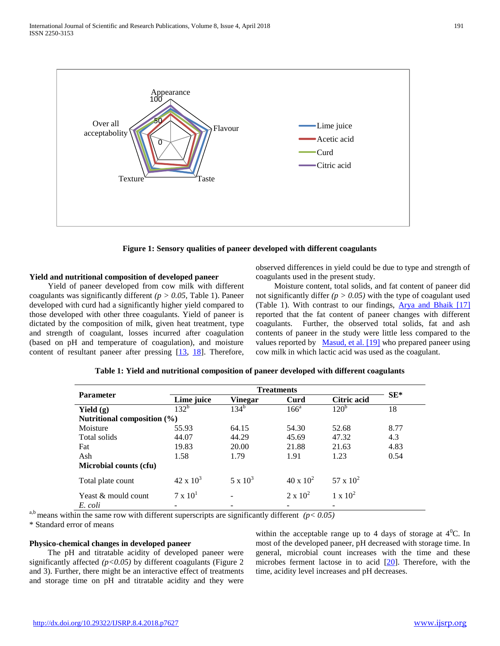

**Figure 1: Sensory qualities of paneer developed with different coagulants**

# **Yield and nutritional composition of developed paneer**

 Yield of paneer developed from cow milk with different coagulants was significantly different *(p > 0.05,* Table 1). Paneer developed with curd had a significantly higher yield compared to those developed with other three coagulants. Yield of paneer is dictated by the composition of milk, given heat treatment, type and strength of coagulant, losses incurred after coagulation (based on pH and temperature of coagulation), and moisture content of resultant paneer after pressing  $[13, 18]$  $[13, 18]$  $[13, 18]$ . Therefore, observed differences in yield could be due to type and strength of coagulants used in the present study.

 Moisture content, total solids, and fat content of paneer did not significantly differ  $(p > 0.05)$  with the type of coagulant used (Table 1). With contrast to our findings, **Arya and Bhaik** [17] reported that the fat content of paneer changes with different coagulants. Further, the observed total solids, fat and ash contents of paneer in the study were little less compared to the values reported by [Masud, et al. \[19\]](#page-4-18) who prepared paneer using cow milk in which lactic acid was used as the coagulant.

| <b>Parameter</b>                |                   |                 |                    |                  |        |
|---------------------------------|-------------------|-----------------|--------------------|------------------|--------|
|                                 | Lime juice        | Vinegar         | Curd               | Citric acid      | $SE^*$ |
| Yield $(g)$                     | $132^{\rm b}$     | $134^{b}$       | $166^a$            | 120 <sup>b</sup> | 18     |
| Nutritional composition $(\% )$ |                   |                 |                    |                  |        |
| Moisture                        | 55.93             | 64.15           | 54.30              | 52.68            | 8.77   |
| Total solids                    | 44.07             | 44.29           | 45.69              | 47.32            | 4.3    |
| Fat                             | 19.83             | 20.00           | 21.88              | 21.63            | 4.83   |
| Ash                             | 1.58              | 1.79            | 1.91               | 1.23             | 0.54   |
| <b>Microbial counts (cfu)</b>   |                   |                 |                    |                  |        |
| Total plate count               | $42 \times 10^3$  | $5 \times 10^3$ | $40 \times 10^{2}$ | $57 \times 10^2$ |        |
| Yeast & mould count             | $7 \times 10^{1}$ | -               | $2 \times 10^{2}$  | $1 \times 10^2$  |        |
| E. coli                         |                   |                 |                    |                  |        |

# **Table 1: Yield and nutritional composition of paneer developed with different coagulants**

<sup>a,b</sup> means within the same row with different superscripts are significantly different  $(p < 0.05)$ 

\* Standard error of means

# **Physico-chemical changes in developed paneer**

 The pH and titratable acidity of developed paneer were significantly affected *(p<0.05)* by different coagulants (Figure 2 and 3). Further, there might be an interactive effect of treatments and storage time on pH and titratable acidity and they were

within the acceptable range up to 4 days of storage at  $4^{\circ}$ C. In most of the developed paneer, pH decreased with storage time. In general, microbial count increases with the time and these microbes ferment lactose in to acid [\[20\]](#page-4-19). Therefore, with the time, acidity level increases and pH decreases.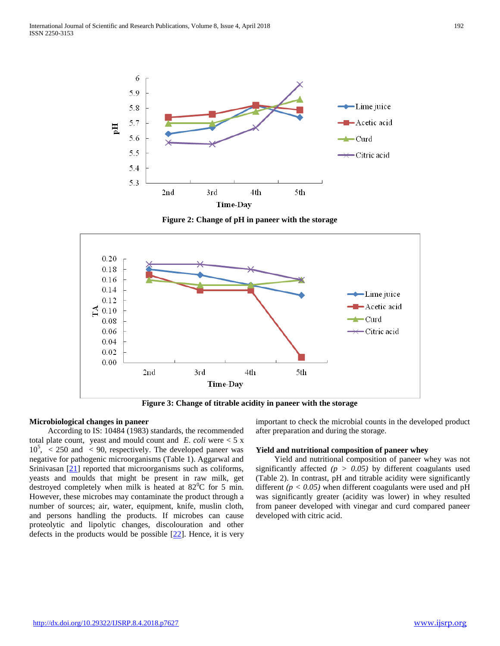

**Figure 2: Change of pH in paneer with the storage**



**Figure 3: Change of titrable acidity in paneer with the storage**

# **Microbiological changes in paneer**

 According to IS: 10484 (1983) standards, the recommended total plate count, yeast and mould count and *E. coli* were < 5 x  $10^5$ , < 250 and < 90, respectively. The developed paneer was negative for pathogenic microorganisms (Table 1). Aggarwal and Srinivasan  $[21]$  reported that microorganisms such as coliforms, yeasts and moulds that might be present in raw milk, get destroyed completely when milk is heated at  $82^{\circ}$ C for 5 min. However, these microbes may contaminate the product through a number of sources; air, water, equipment, knife, muslin cloth, and persons handling the products. If microbes can cause proteolytic and lipolytic changes, discolouration and other defects in the products would be possible  $[22]$ . Hence, it is very

important to check the microbial counts in the developed product after preparation and during the storage.

## **Yield and nutritional composition of paneer whey**

 Yield and nutritional composition of paneer whey was not significantly affected *(p > 0.05)* by different coagulants used (Table 2). In contrast, pH and titrable acidity were significantly different  $(p < 0.05)$  when different coagulants were used and pH was significantly greater (acidity was lower) in whey resulted from paneer developed with vinegar and curd compared paneer developed with citric acid.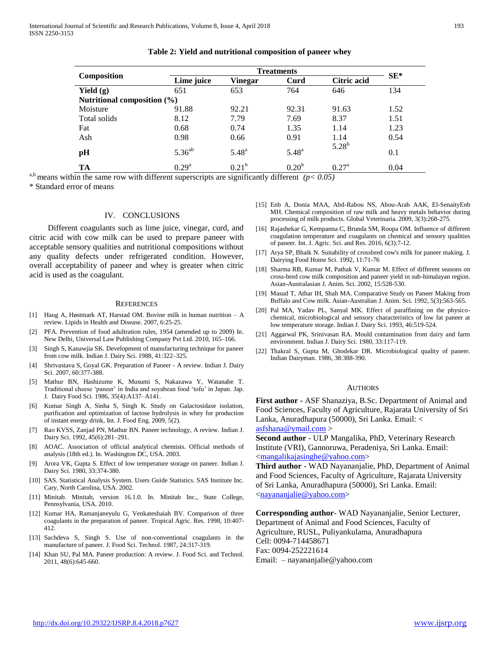| Composition                 |                |                |                   |                    |        |  |  |  |
|-----------------------------|----------------|----------------|-------------------|--------------------|--------|--|--|--|
|                             | Lime juice     | <b>Vinegar</b> | Curd              | <b>Citric acid</b> | $SE^*$ |  |  |  |
| Yield $(g)$                 | 651            | 653            | 764               | 646                | 134    |  |  |  |
| Nutritional composition (%) |                |                |                   |                    |        |  |  |  |
| Moisture                    | 91.88          | 92.21          | 92.31             | 91.63              | 1.52   |  |  |  |
| Total solids                | 8.12           | 7.79           | 7.69              | 8.37               | 1.51   |  |  |  |
| Fat                         | 0.68           | 0.74           | 1.35              | 1.14               | 1.23   |  |  |  |
| Ash                         | 0.98           | 0.66           | 0.91              | 1.14               | 0.54   |  |  |  |
| pH                          | $5.36^{ab}$    | $5.48^{a}$     | $5.48^{a}$        | $5.28^{b}$         | 0.1    |  |  |  |
| TA                          | $0.29^{\rm a}$ | $0.21^{b}$     | 0.20 <sup>b</sup> | $0.27^{\rm a}$     | 0.04   |  |  |  |

**Table 2: Yield and nutritional composition of paneer whey**

<sup>a,b</sup> means within the same row with different superscripts are significantly different  $(p < 0.05)$ 

\* Standard error of means

#### IV. CONCLUSIONS

 Different coagulants such as lime juice, vinegar, curd, and citric acid with cow milk can be used to prepare paneer with acceptable sensory qualities and nutritional compositions without any quality defects under refrigerated condition. However, overall acceptability of paneer and whey is greater when citric acid is used as the coagulant.

#### **REFERENCES**

- <span id="page-4-0"></span>[1] Haug A, Høstmark AT, Harstad OM. Bovine milk in human nutrition – A review. Lipids in Health and Disease*.* 2007, 6:25-25.
- <span id="page-4-1"></span>[2] PFA. Prevention of food adultration rules, 1954 (amended up to 2009) In*.* New Delhi, Universal Law Publishing Company Pvt Ltd. 2010, 165–166.
- <span id="page-4-2"></span>[3] Singh S, Kanawjia SK. Development of manufacturing technique for paneer from cow milk. Indian J. Dairy Sci. 1988, 41:322–325.
- <span id="page-4-3"></span>[4] Shrivastava S, Goyal GK. Preparation of Paneer - A review. Indian J. Dairy Sci. 2007, 60:377-388.
- <span id="page-4-4"></span>[5] Mathur BN, Hashizume K, Musumi S, Nakazawa Y, Watanabe T. Traditional cheese 'paneer' in India and soyabean food 'tofu' in Japan. Jap. J. Dairy Food Sci. 1986, 35(4):A137–A141.
- <span id="page-4-5"></span>[6] Kumar Singh A, Sinha S, Singh K. Study on Galactosidase isolation, purification and optimization of lactose hydrolysis in whey for production of instant energy drink, Int. J. Food Eng. 2009, 5(2).
- <span id="page-4-6"></span>[7] Rao KVSS, Zanjad PN, Mathur BN. Paneer technology, A review. Indian J. Dairy Sci. 1992, 45(6):281–291.
- <span id="page-4-7"></span>[8] AOAC. Association of official analytical chemists. Official methods of analysis (18th ed.). In*.* Washington DC, USA. 2003.
- <span id="page-4-8"></span>[9] Arora VK, Gupta S. Effect of low temperature storage on paneer. Indian J. Dairy Sci. 1980, 33:374-380.
- <span id="page-4-9"></span>[10] SAS. Statistical Analysis System. Users Guide Statistics. SAS Institute Inc. Cary, North Carolina, USA. 2002.
- <span id="page-4-10"></span>[11] Minitab. Minitab, version 16.1.0. In*.* Minitab Inc., State College, Pennsylvania, USA. 2010.
- <span id="page-4-11"></span>[12] Kumar HA, Ramanjaneyulu G, Venkateshaiah BV. Comparison of three coagulants in the preparation of paneer. Tropical Agric. Res. 1998, 10:407- 412.
- <span id="page-4-12"></span>[13] Sachdeva S, Singh S. Use of non-conventional coagulants in the manufacture of paneer. J. Food Sci. Technol. 1987, 24:317-319.
- <span id="page-4-13"></span>[14] Khan SU, Pal MA. Paneer production: A review. J. Food Sci. and Technol. 2011, 48(6):645-660.
- <span id="page-4-14"></span>[15] Enb A, Donia MAA, Abd-Rabou NS, Abou-Arab AAK, El-SenaityEnb MH. Chemical composition of raw milk and heavy metals behavior during processing of milk products. Global Veterinaria*.* 2009, 3(3):268-275.
- <span id="page-4-15"></span>[16] Rajashekar G, Kempanna C, Brunda SM, Roopa OM. Influence of different coagulation temperature and coagulants on chemical and sensory qualities of paneer. Int. J. Agric. Sci. and Res. 2016, 6(3):7-12.
- <span id="page-4-16"></span>[17] Arya SP, Bhaik N. Suitability of crossbred cow's milk for paneer making. J. Dairying Food Home Sci. 1992, 11:71-76
- <span id="page-4-17"></span>[18] Sharma RB, Kumar M, Pathak V, Kumar M. Effect of different seasons on cross-bred cow milk composition and paneer yield in sub-himalayan region. Asian-Australasian J. Anim. Sci. 2002, 15:528-530.
- <span id="page-4-18"></span>[19] Masud T, Athar IH, Shah MA. Comparative Study on Paneer Making from Buffalo and Cow milk. Asian-Australian J. Anim. Sci. 1992, 5(3):563-565.
- <span id="page-4-19"></span>[20] Pal MA, Yadav PL, Sanyal MK. Effect of paraffining on the physicochemical, microbiological and sensory characteristics of low fat paneer at low temperature storage. Indian J. Dairy Sci. 1993, 46:519-524.
- <span id="page-4-20"></span>[21] Aggarwal PK, Srinivasan RA. Mould contamination from dairy and farm environment. Indian J. Dairy Sci. 1980, 33:117-119.
- <span id="page-4-21"></span>[22] Thakral S, Gupta M, Ghodekar DR. Microbiological quality of paneer. Indian Dairyman. 1986, 38:388-390.

#### **AUTHORS**

**First author -** ASF Shanaziya, B.Sc. Department of Animal and Food Sciences, Faculty of Agriculture, Rajarata University of Sri Lanka, Anuradhapura (50000), Sri Lanka. Email: <

[asfshana@ymail.com](mailto:asfshana@ymail.com) >

**Second author** - ULP Mangalika, PhD, Veterinary Research Institute (VRI), Gannoruwa, Peradeniya, Sri Lanka. Email: [<mangalikajasinghe@yahoo.com>](mailto:mangalikajasinghe@yahoo.com)

**Third author** - WAD Nayananjalie, PhD, Department of Animal and Food Sciences, Faculty of Agriculture, Rajarata University of Sri Lanka, Anuradhapura (50000), Sri Lanka. Email: [<nayananjalie@yahoo.com>](mailto:nayananjalie@yahoo.com)

**Corresponding author**- WAD Nayananjalie, Senior Lecturer, Department of Animal and Food Sciences, Faculty of Agriculture, RUSL, Puliyankulama, Anuradhapura Cell: 0094-714458671 Fax: 0094-252221614 Email: – nayananjalie@yahoo.com